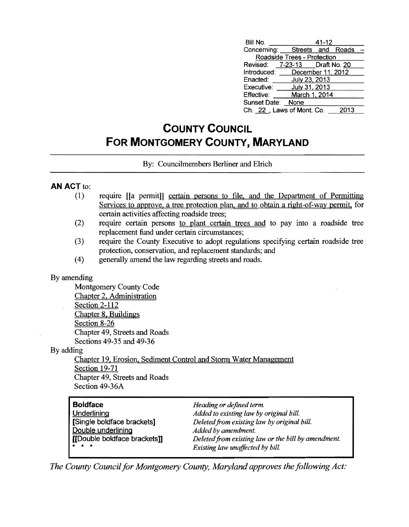| Bill No.                      |                             | 41-12 |      |  |
|-------------------------------|-----------------------------|-------|------|--|
| Concerning: Streets and Roads |                             |       |      |  |
|                               | Roadside Trees - Protection |       |      |  |
| Revised: 7-23-13 Draft No. 20 |                             |       |      |  |
| Introduced: December 11, 2012 |                             |       |      |  |
| Enacted: July 23, 2013        |                             |       |      |  |
| Executive: July 31, 2013      |                             |       |      |  |
| Effective:                    | March 1, 2014               |       |      |  |
| Sunset Date: None             |                             |       |      |  |
| Ch. 22, Laws of Mont. Co.     |                             |       | 2013 |  |

## **COUNTY COUNCIL FOR MONTGOMERY COUNTY, MARYLAND**

By: Councilmembers Berliner and EIrich

## **AN ACT to:**

- (1) require [[a permit]] certain persons to file, and the Department of Permitting Services to approve, a tree protection plan. and to obtain a right-of-way permit. for certain activities affecting roadside trees;
- (2) require certain persons to plant certain trees and to pay into a roadside tree replacement fund under certain circumstances;
- (3) require the County Executive to adopt regulations specifying certain roadside tree protection, conservation, and replacement standards; and
- (4) generally amend the law regarding streets and roads.

## By amending

Montgomery County Code Chapter 2, Administration Section 2-112 Chapter 8, Buildings Section 8-26 Chapter 49, Streets and Roads Sections 49-35 and 49-36

By adding

Chapter 19. Erosion. Sediment Control and Storm Water Management **Section 19-71** Chapter 49, Streets and Roads Section 49-36A

| <b>Boldface</b>              | Heading or defined term.                            |
|------------------------------|-----------------------------------------------------|
| Underlining                  | Added to existing law by original bill.             |
| [Single boldface brackets]   | Deleted from existing law by original bill.         |
| Double underlining           | Added by amendment.                                 |
| [[Double boldface brackets]] | Deleted from existing law or the bill by amendment. |
| * * *                        | Existing law unaffected by bill.                    |

*The County Council for Montgomery County, Maryland approves the following Act:*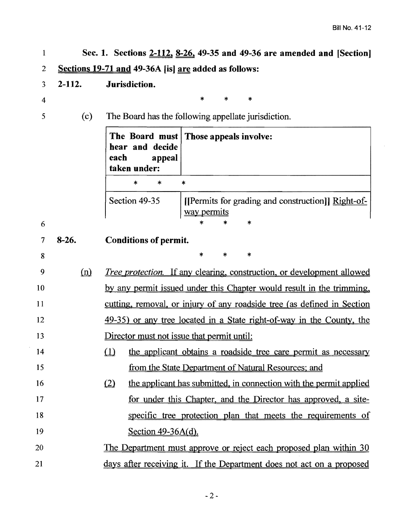$\sim$ 

| 1              |            | Sec. 1. Sections 2-112, 8-26, 49-35 and 49-36 are amended and [Section]                       |
|----------------|------------|-----------------------------------------------------------------------------------------------|
| 2              |            | Sections 19-71 and 49-36A [is] are added as follows:                                          |
| $\mathfrak{Z}$ | $2 - 112.$ | Jurisdiction.                                                                                 |
| $\overline{4}$ |            | $\ast$<br>*<br>$\ast$                                                                         |
| 5              | (c)        | The Board has the following appellate jurisdiction.                                           |
|                |            | The Board must   Those appeals involve:<br>hear and decide<br>each<br>appeal<br>taken under:  |
|                |            | *<br>*<br>*                                                                                   |
|                |            | Section 49-35<br>[[Permits for grading and construction]] Right-of-<br>way permits<br>$\star$ |
| 6              |            |                                                                                               |
|                | $8-26.$    | <b>Conditions of permit.</b>                                                                  |
| 8              |            | $\ast$<br>*<br>*                                                                              |
| 9              | (n)        | <i>Tree protection.</i> If any clearing, construction, or development allowed                 |
| 10             |            | by any permit issued under this Chapter would result in the trimming,                         |
| 11             |            | cutting, removal, or injury of any roadside tree (as defined in Section                       |
| 12             |            | 49-35) or any tree located in a State right-of-way in the County, the                         |
| 13             |            | Director must not issue that permit until:                                                    |
| 14             |            | $\Omega$<br>the applicant obtains a roadside tree care permit as necessary                    |
| 15             |            | from the State Department of Natural Resources; and                                           |
| 16             |            | (2)<br>the applicant has submitted, in connection with the permit applied                     |
| 17             |            | for under this Chapter, and the Director has approved, a site-                                |
| 18             |            | specific tree protection plan that meets the requirements of                                  |
| 19             |            | Section $49-36A(d)$ .                                                                         |
| 20             |            | <u>The Department must approve or reject each proposed plan within 30</u>                     |
| 21             |            | days after receiving it. If the Department does not act on a proposed                         |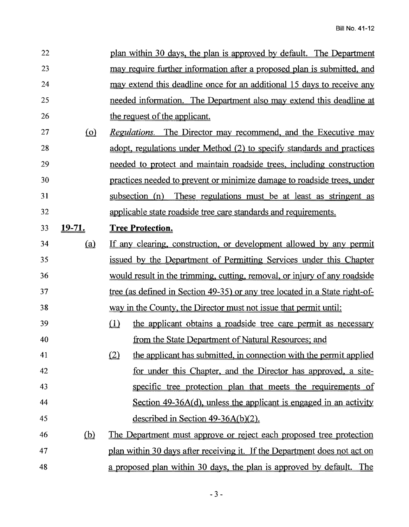| 22 |                               | plan within 30 days, the plan is approved by default. The Department        |
|----|-------------------------------|-----------------------------------------------------------------------------|
| 23 |                               | may require further information after a proposed plan is submitted, and     |
| 24 |                               | may extend this deadline once for an additional 15 days to receive any      |
| 25 |                               | needed information. The Department also may extend this deadline at         |
| 26 |                               | the request of the applicant.                                               |
| 27 | $\Omega$                      | <i>Regulations.</i> The Director may recommend, and the Executive may       |
| 28 |                               | adopt, regulations under Method (2) to specify standards and practices      |
| 29 |                               | needed to protect and maintain roadside trees, including construction       |
| 30 |                               | practices needed to prevent or minimize damage to roadside trees, under     |
| 31 |                               | subsection (n) These regulations must be at least as stringent as           |
| 32 |                               | applicable state roadside tree care standards and requirements.             |
| 33 | <u>19-71.</u>                 | <b>Tree Protection.</b>                                                     |
| 34 | (a)                           | If any clearing, construction, or development allowed by any permit         |
| 35 |                               | issued by the Department of Permitting Services under this Chapter          |
| 36 |                               | would result in the trimming, cutting, removal, or injury of any roadside   |
| 37 |                               | tree (as defined in Section 49-35) or any tree located in a State right-of- |
| 38 |                               | way in the County, the Director must not issue that permit until:           |
| 39 |                               | the applicant obtains a roadside tree care permit as necessary<br>(1)       |
| 40 |                               | from the State Department of Natural Resources; and                         |
| 41 |                               | (2)<br>the applicant has submitted, in connection with the permit applied   |
| 42 |                               | for under this Chapter, and the Director has approved, a site-              |
| 43 |                               | specific tree protection plan that meets the requirements of                |
| 44 |                               | Section $49-36A(d)$ , unless the applicant is engaged in an activity        |
| 45 |                               | described in Section $49-36A(b)(2)$ .                                       |
| 46 | $\underline{\underline{(b)}}$ | The Department must approve or reject each proposed tree protection         |
| 47 |                               | plan within 30 days after receiving it. If the Department does not act on   |
| 48 |                               | a proposed plan within 30 days, the plan is approved by default. The        |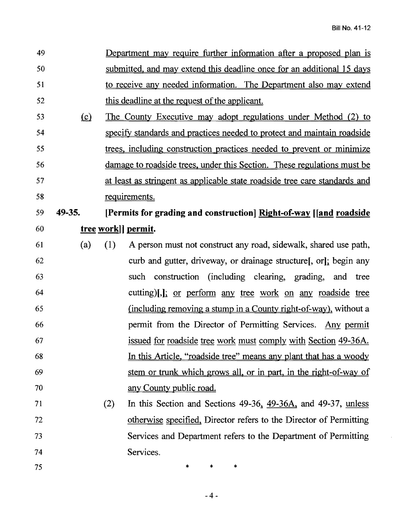$\ddot{\phantom{a}}$ 

| 49 |          |                     | Department may require further information after a proposed plan is        |  |  |
|----|----------|---------------------|----------------------------------------------------------------------------|--|--|
| 50 |          |                     | submitted, and may extend this deadline once for an additional 15 days     |  |  |
| 51 |          |                     | to receive any needed information. The Department also may extend          |  |  |
| 52 |          |                     | this deadline at the request of the applicant.                             |  |  |
| 53 | $\Omega$ |                     | <u>The County Executive may adopt regulations under Method (2) to</u>      |  |  |
| 54 |          |                     | specify standards and practices needed to protect and maintain roadside    |  |  |
| 55 |          |                     | trees, including construction practices needed to prevent or minimize      |  |  |
| 56 |          |                     | damage to roadside trees, under this Section. These regulations must be    |  |  |
| 57 |          |                     | at least as stringent as applicable state roadside tree care standards and |  |  |
| 58 |          |                     | requirements.                                                              |  |  |
| 59 | 49-35.   |                     | [Permits for grading and construction] Right-of-way [[and roadside]        |  |  |
| 60 |          | tree work   permit. |                                                                            |  |  |
| 61 | (a)      | (1)                 | A person must not construct any road, sidewalk, shared use path,           |  |  |
| 62 |          |                     | curb and gutter, driveway, or drainage structure, or, begin any            |  |  |
| 63 |          |                     | such construction (including clearing, grading, and tree                   |  |  |
| 64 |          |                     | cutting)[,]; <u>or perform any tree work on any roadside</u> tree          |  |  |
| 65 |          |                     | (including removing a stump in a County right-of-way), without a           |  |  |
| 66 |          |                     | permit from the Director of Permitting Services. Any permit                |  |  |
| 67 |          |                     | <u>issued for roadside tree work must comply with Section 49-36A.</u>      |  |  |
| 68 |          |                     | In this Article, "roadside tree" means any plant that has a woody          |  |  |
| 69 |          |                     | stem or trunk which grows all, or in part, in the right-of-way of          |  |  |
| 70 |          |                     | any County public road.                                                    |  |  |
| 71 |          | (2)                 | In this Section and Sections 49-36, 49-36A, and 49-37, unless              |  |  |
| 72 |          |                     | otherwise specified, Director refers to the Director of Permitting         |  |  |
| 73 |          |                     | Services and Department refers to the Department of Permitting             |  |  |
| 74 |          |                     | Services.                                                                  |  |  |
| 75 |          |                     | *<br>*<br>*                                                                |  |  |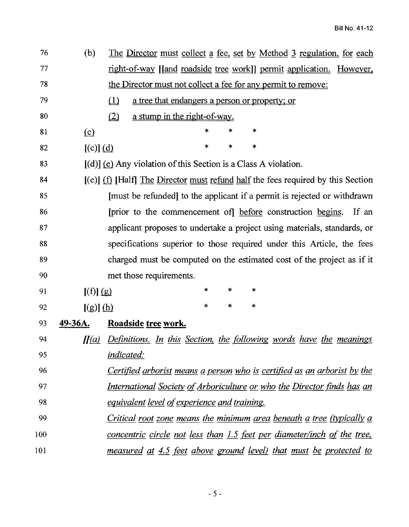| 76  | (b)           | <u>The Director must collect a fee, set by Method 3 regulation, for each</u>       |
|-----|---------------|------------------------------------------------------------------------------------|
| 77  |               | right-of-way [[and roadside tree work]] permit application. However,               |
| 78  |               | the Director must not collect a fee for any permit to remove:                      |
| 79  |               | $\Box$<br>a tree that endangers a person or property; or                           |
| 80  |               | a stump in the right-of-way.<br>(2)                                                |
| 81  | $\Omega$      | $\ast$<br>$\ast$<br>*                                                              |
| 82  | $[(c)]$ $(d)$ | *<br>*<br>$\ast$                                                                   |
| 83  |               | $[(d)]$ (e) Any violation of this Section is a Class A violation.                  |
| 84  |               | $[(e)]$ (f) [Half] The Director must refund half the fees required by this Section |
| 85  |               | [must be refunded] to the applicant if a permit is rejected or withdrawn           |
| 86  |               | [prior to the commencement of] before construction begins.<br>If an                |
| 87  |               | applicant proposes to undertake a project using materials, standards, or           |
| 88  |               | specifications superior to those required under this Article, the fees             |
| 89  |               | charged must be computed on the estimated cost of the project as if it             |
| 90  |               | met those requirements.                                                            |
| 91  | [(f)] (g)     | *<br>∗<br>$\ast$                                                                   |
| 92  | [(g)] (h)     | $\ast$<br>$\ast$<br>*                                                              |
| 93  | 49-36A.       | Roadside tree work.                                                                |
| 94  |               | [[(a) Definitions. In this Section, the following words have the meanings          |
| 95  |               | indicated:                                                                         |
| 96  |               | Certified arborist means a person who is certified as an arborist by the           |
| 97  |               | <u>International Society of Arboriculture or who the Director finds has an</u>     |
| 98  |               | <i>equivalent level of experience and training.</i>                                |
| 99  |               | <u>Critical root zone means the minimum area beneath a tree (typically a</u>       |
| 100 |               | concentric circle not less than 1.5 feet per diameter/inch of the tree,            |
| 101 |               | <u>measured at 4.5 feet above ground level) that must be protected to</u>          |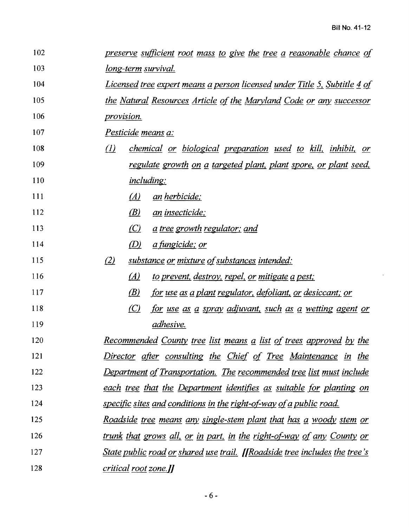$\bar{\mathcal{A}}$ 

| 102 | <u>preserve sufficient root mass to give the tree a reasonable chance of </u>            |  |  |  |
|-----|------------------------------------------------------------------------------------------|--|--|--|
| 103 | long-term survival.                                                                      |  |  |  |
| 104 | <u>Licensed tree expert means a person licensed under Title 5, Subtitle 4 of </u>        |  |  |  |
| 105 | the Natural Resources Article of the Maryland Code or any successor                      |  |  |  |
| 106 | provision.                                                                               |  |  |  |
| 107 | Pesticide means a:                                                                       |  |  |  |
| 108 | $\left( I\right)$<br><i>chemical or biological preparation used to kill, inhibit, or</i> |  |  |  |
| 109 | regulate growth on a targeted plant, plant spore, or plant seed,                         |  |  |  |
| 110 | <i>including:</i>                                                                        |  |  |  |
| 111 | (A)<br><u>an herbicide;</u>                                                              |  |  |  |
| 112 | (B)<br><u>an insecticide;</u>                                                            |  |  |  |
| 113 | <u>a</u> tree growth regulator; and<br>(C)                                               |  |  |  |
| 114 | (D)<br><u>a fungicide; or</u>                                                            |  |  |  |
| 115 | (2)<br><u>substance or mixture of substances intended:</u>                               |  |  |  |
| 116 | (A)<br>to prevent, destroy, repel, or mitigate a pest;                                   |  |  |  |
| 117 | (B)<br><u>for use as a plant regulator, defoliant, or desiccant; or </u>                 |  |  |  |
| 118 | (C)<br><u>for use as a spray adjuvant, such as a wetting agent or</u>                    |  |  |  |
| 119 | adhesive.                                                                                |  |  |  |
| 120 | <u>Recommended County tree list means a list of trees approved by the</u>                |  |  |  |
| 121 | <u>Director</u> after consulting the Chief of Tree Maintenance in the                    |  |  |  |
| 122 | Department of Transportation. The recommended tree list must include                     |  |  |  |
| 123 | each tree that the Department identifies as suitable for planting on                     |  |  |  |
| 124 | specific sites and conditions in the right-of-way of a public road.                      |  |  |  |
| 125 | <u>Roadside tree means any single-stem plant that has a woody stem or</u>                |  |  |  |
| 126 | <u>trunk that grows all, or in part, in the right-of-way of any County or </u>           |  |  |  |
| 127 | <u>State public road or shared use trail. [[Roadside tree includes the tree's</u>        |  |  |  |
| 128 | critical root zone.]]                                                                    |  |  |  |
|     |                                                                                          |  |  |  |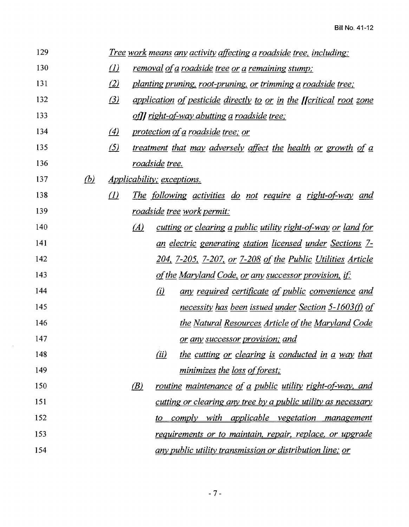| 129 |     |                   | <u> Tree work means any activity affecting a roadside tree, including:</u>  |
|-----|-----|-------------------|-----------------------------------------------------------------------------|
| 130 |     | $\left($          | removal of a roadside tree or a remaining stump;                            |
| 131 |     | $\left( 2\right)$ | planting pruning, root-pruning, or trimming a roadside tree;                |
| 132 |     | $\left(3\right)$  | application of pesticide directly to or in the <i>[[critical root zone</i>  |
| 133 |     |                   | of]] right-of-way abutting a roadside tree;                                 |
| 134 |     | $\left(4\right)$  | protection of a roadside tree; or                                           |
| 135 |     | $\Delta$          | treatment that may adversely affect the health or growth of a               |
| 136 |     |                   | roadside tree.                                                              |
| 137 | (b) |                   | <i>Applicability; exceptions.</i>                                           |
| 138 |     | (I)               | <u>The following activities do not require a right-of-way and </u>          |
| 139 |     |                   | <u>roadside tree work permit:</u>                                           |
| 140 |     |                   | (A)<br>cutting <u>or clearing a public utility right-of-way or land for</u> |
| 141 |     |                   | <u>an electric generating station licensed under Sections 7-</u>            |
| 142 |     |                   | <u>204, 7-205, 7-207, or 7-208 of the Public Utilities Article</u>          |
| 143 |     |                   | <u>of the Maryland Code, or any successor provision, if:</u>                |
| 144 |     |                   | (i)<br><u>any required certificate of public convenience and</u>            |
| 145 |     |                   | necessity has been issued under Section 5-1603(f) of                        |
| 146 |     |                   | <u>the Natural Resources Article of the Maryland Code</u>                   |
| 147 |     |                   | <u>or any successor provision; and</u>                                      |
| 148 |     |                   | (ii)<br>the cutting or clearing is conducted in a way that                  |
| 149 |     |                   | minimizes the loss of forest;                                               |
| 150 |     |                   | (B)<br><u>routine maintenance of a public utility right-of-way, and</u>     |
| 151 |     |                   | cutting or clearing any tree by a public utility as necessary               |
| 152 |     |                   | <i>comply with</i><br><u>applicable vegetation management</u><br><u>to</u>  |
| 153 |     |                   | requirements or to maintain, repair, replace, or upgrade                    |
| 154 |     |                   | <u>any public utility transmission or distribution line; or</u>             |

 $\mathcal{L}_{\mathcal{L}}$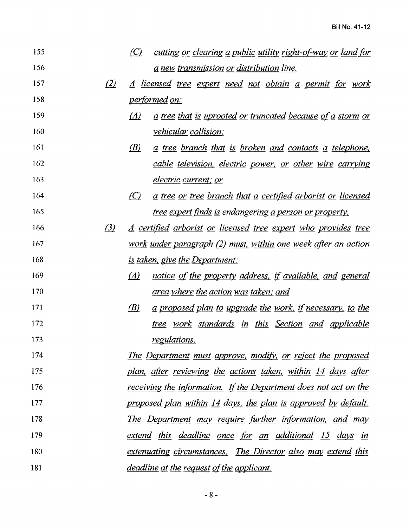| 155 |                   | $\left( $<br>cutting or clearing a public utility right-of-way or land for |
|-----|-------------------|----------------------------------------------------------------------------|
| 156 |                   | <u>a new transmission or distribution line.</u>                            |
| 157 | (2)               | <u>A licensed tree expert need not obtain a permit for work</u>            |
| 158 |                   | <u>performed on:</u>                                                       |
| 159 |                   | <u>a tree that is uprooted or truncated because of a storm or</u><br>(A)   |
| 160 |                   | <i>vehicular collision;</i>                                                |
| 161 |                   | (B)<br><u>a tree branch that is broken and contacts a telephone,</u>       |
| 162 |                   | cable television, electric power, or other wire carrying                   |
| 163 |                   | <i>electric current; or</i>                                                |
| 164 |                   | (C)<br><u>a tree or tree branch that a certified arborist or licensed</u>  |
| 165 |                   | <u>tree expert finds is endangering a person or property.</u>              |
| 166 | $\left( 3\right)$ | <u>A certified arborist or licensed tree expert who provides tree</u>      |
| 167 |                   | work under paragraph (2) must, within one week after an action             |
| 168 |                   | <u>is taken, give the Department:</u>                                      |
| 169 |                   | $\Delta$<br>notice of the property address, if available, and general      |
| 170 |                   | <u>area where the action was taken; and</u>                                |
| 171 |                   | (B)<br>a proposed plan to upgrade the work, if necessary, to the           |
| 172 |                   | <u>tree work standards in this Section and applicable</u>                  |
| 173 |                   | regulations.                                                               |
| 174 |                   | <u>The Department must approve, modify, or reject the proposed</u>         |
| 175 |                   | <u>plan, after reviewing the actions taken, within 14 days after</u>       |
| 176 |                   | receiving the information. If the Department does not act on the           |
| 177 |                   | proposed plan within 14 days, the plan is approved by default.             |
| 178 |                   | <u>The Department may require further information, and may</u>             |
| 179 |                   | <u>extend this deadline once for an additional 15 days in</u>              |
| 180 |                   | <u>extenuating circumstances. The Director also may extend this</u>        |
| 181 |                   | <u>deadline at the request of the applicant.</u>                           |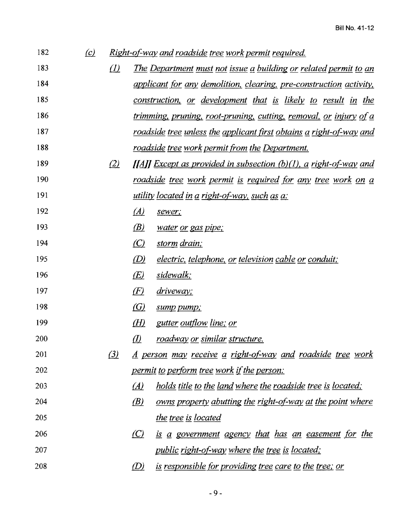| 182 | $\left( c\right)$ |          |                    | <u>Right-of-way and roadside tree work permit required.</u>                |
|-----|-------------------|----------|--------------------|----------------------------------------------------------------------------|
| 183 |                   | $\left($ |                    | <u>The Department must not issue a building or related permit to an</u>    |
| 184 |                   |          |                    | applicant for any demolition, clearing, pre-construction activity,         |
| 185 |                   |          |                    | <u>construction, or development that is likely to result in the </u>       |
| 186 |                   |          |                    | trimming, pruning, root-pruning, cutting, removal, or injury of a          |
| 187 |                   |          |                    | <u>roadside tree unless the applicant first obtains a right-of-way and</u> |
| 188 |                   |          |                    | <u>roadside tree work permit from the Department.</u>                      |
| 189 |                   | (2)      |                    | [[A]] Except as provided in subsection $(b)(1)$ , a right-of-way and       |
| 190 |                   |          |                    | <u>roadside tree work permit is required for any tree work on a</u>        |
| 191 |                   |          |                    | utility located in a right-of-way, such as a:                              |
| 192 |                   |          | (A)                | sewer;                                                                     |
| 193 |                   |          | (B)                | water or gas pipe;                                                         |
| 194 |                   |          | $\left( $          | storm drain;                                                               |
| 195 |                   |          | (D)                | <i>electric, telephone, or television cable or conduit;</i>                |
| 196 |                   |          | $E\left( E\right)$ | sidewalk;                                                                  |
| 197 |                   |          | (E)                | <u>driveway;</u>                                                           |
| 198 |                   |          | $\left( G\right)$  | sump pump;                                                                 |
| 199 |                   |          | (H)                | <u>gutter outflow line; or</u>                                             |
| 200 |                   |          | $\varrho$          | roadway or similar structure.                                              |
| 201 |                   | (3)      |                    | A person may receive a right-of-way and roadside tree work                 |
| 202 |                   |          |                    | <u>permit to perform tree work if the person:</u>                          |
| 203 |                   |          | $\Delta$           | <u>holds title to the land where the roadside tree is located;</u>         |
| 204 |                   |          | (B)                | <u>owns property abutting the right-of-way at the point where</u>          |
| 205 |                   |          |                    | the tree is located                                                        |
| 206 |                   |          | $\omega$           | <u>is a government agency that has an easement for the</u>                 |
| 207 |                   |          |                    | <i>public right-of-way where the tree is located;</i>                      |
| 208 |                   |          | $\mathcal{D}$      | <u>is responsible for providing tree care to the tree; or</u>              |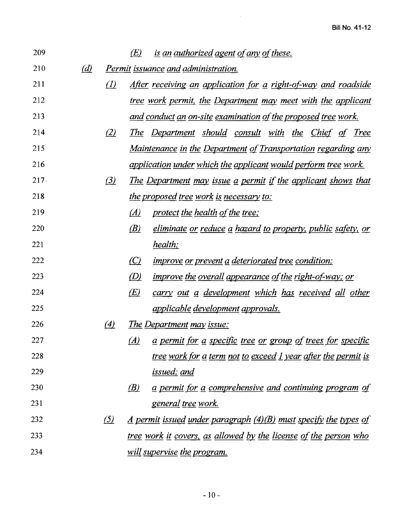| 209     |                              |                              | (E)                          | <u>is an authorized agent of any of these.</u>                                                                 |
|---------|------------------------------|------------------------------|------------------------------|----------------------------------------------------------------------------------------------------------------|
| 210     | $\left(\underline{d}\right)$ |                              |                              | <u>Permit issuance and administration.</u>                                                                     |
| 211     |                              | $\Delta$                     |                              | <u>After receiving an application for a right-of-way and roadside</u>                                          |
| 212     |                              |                              |                              | <u>tree work permit, the Department may meet with the applicant</u>                                            |
| 213     |                              |                              |                              | <u>and conduct an on-site examination of the proposed tree work.</u>                                           |
| 214     |                              | (2)                          |                              | <u>The Department should consult with the Chief of Tree</u>                                                    |
| 215     |                              |                              |                              | <u>Maintenance in the Department of Transportation regarding any</u>                                           |
| 216     |                              |                              |                              | <u>application under which the applicant would perform tree work.</u>                                          |
| $217 -$ |                              | $\left( \frac{3}{2} \right)$ |                              | <u>The Department may issue a permit if the applicant shows that</u>                                           |
| 218     |                              |                              |                              | <u>the proposed tree work is necessary to:</u>                                                                 |
| 219     |                              |                              | $\Delta$                     | protect the health of the tree;                                                                                |
| 220     |                              |                              | $\langle B \rangle$          | <u>eliminate or reduce a hazard to property, public safety, or</u>                                             |
| 221     |                              |                              |                              | health;                                                                                                        |
| 222     |                              |                              | $\omega$                     | <i>improve or prevent a deteriorated tree condition;</i>                                                       |
| 223     |                              |                              | $\left(\underline{D}\right)$ | <i>improve the overall appearance of the right-of-way; or</i>                                                  |
| 224     |                              |                              | E(                           | <u>carry out a development which has received all other</u>                                                    |
| 225     |                              |                              |                              | <u>applicable development approvals.</u>                                                                       |
| 226     |                              | $\left(4\right)$             |                              | <u>The Department may issue:</u>                                                                               |
| 227     |                              |                              | (A)                          | a permit for a specific tree or group of trees for specific                                                    |
| 228     |                              |                              |                              | <u>tree work for a term not to exceed 1 year after the permit is </u>                                          |
| 229     |                              |                              |                              | <u>issued; and</u>                                                                                             |
| 230     |                              |                              | (B)                          | <u>a permit for a comprehensive and continuing program of</u>                                                  |
| 231     |                              |                              |                              | <u>general tree work.</u>                                                                                      |
| 232     |                              | $\frac{(5)}{2}$              |                              | <u>A permit issued under paragraph <math>(4)(B)</math> must specify the types of <math>\overline{B}</math></u> |
| 233     |                              |                              |                              | <u>tree work it covers, as allowed by the license of the person who</u>                                        |
| 234     |                              |                              |                              | will supervise the program.                                                                                    |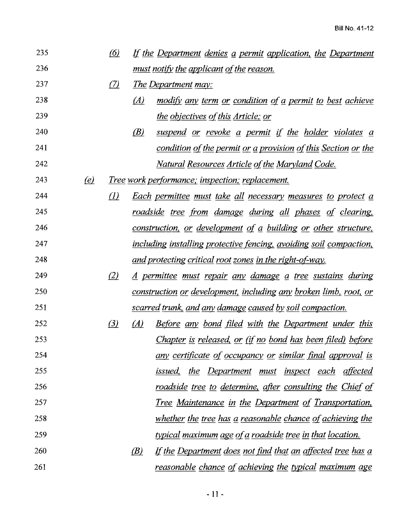| 235 |                           | (6)               |     | If the Department denies a permit application, the Department           |
|-----|---------------------------|-------------------|-----|-------------------------------------------------------------------------|
| 236 |                           |                   |     | <u>must notify the applicant of the reason.</u>                         |
| 237 |                           | (7)               |     | <u>The Department may:</u>                                              |
| 238 |                           |                   | (A) | <u>modify any term or condition of a permit to best achieve</u>         |
| 239 |                           |                   |     | the objectives of this Article; or                                      |
| 240 |                           |                   | (B) | <u>suspend or revoke a permit if the holder violates a</u>              |
| 241 |                           |                   |     | <u>condition of the permit or a provision of this Section or the</u>    |
| 242 |                           |                   |     | <u>Natural Resources Article of the Maryland Code.</u>                  |
| 243 | $\left(\mathbf{e}\right)$ |                   |     | <u>Tree work performance; inspection; replacement.</u>                  |
| 244 |                           | $\left( l\right)$ |     | <u>Each permittee must take all necessary measures to protect a</u>     |
| 245 |                           |                   |     | <u>roadside tree from damage during all phases of clearing,</u>         |
| 246 |                           |                   |     | <u>construction, or development of a building or other structure,</u>   |
| 247 |                           |                   |     | including installing protective fencing, avoiding soil compaction,      |
| 248 |                           |                   |     | <u>and protecting critical root zones in the right-of-way.</u>          |
| 249 |                           | (2)               |     | <u>A permittee must repair any damage a tree sustains during</u>        |
| 250 |                           |                   |     | <u>construction or development, including any broken limb, root, or</u> |
| 251 |                           |                   |     | <u>scarred trunk, and any damage caused by soil compaction.</u>         |
| 252 |                           | (3)               | (A) | <u>Before any bond filed with the Department under this</u>             |
| 253 |                           |                   |     | <u>Chapter is released, or (if no bond has been filed) before</u>       |
| 254 |                           |                   |     | <u>any certificate of occupancy or similar final approval is</u>        |
| 255 |                           |                   |     | <u>issued, the Department must inspect each affected</u>                |
| 256 |                           |                   |     | <u>roadside tree to determine, after consulting the Chief of </u>       |
| 257 |                           |                   |     | <u>Tree Maintenance in the Department of Transportation,</u>            |
| 258 |                           |                   |     | <u>whether the tree has a reasonable chance of achieving the</u>        |
| 259 |                           |                   |     | typical maximum age of a roadside tree in that location.                |
| 260 |                           |                   | (B) | <u>If the Department does not find that an affected tree has a</u>      |
| 261 |                           |                   |     | <u>reasonable chance of achieving the typical maximum age</u>           |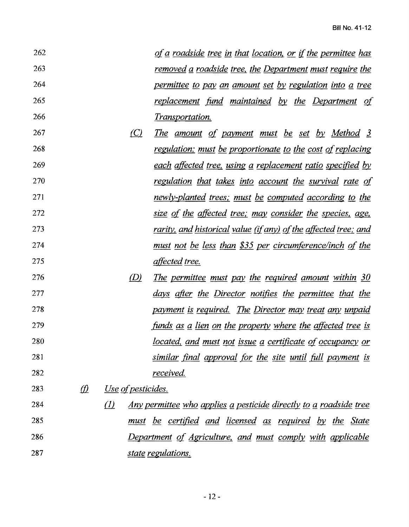| 262 |             |                           | of a roadside tree in that location, or if the permittee has             |
|-----|-------------|---------------------------|--------------------------------------------------------------------------|
| 263 |             |                           | <u>removed a roadside tree, the Department must require the</u>          |
| 264 |             |                           | permittee to pay an amount set by regulation into a tree                 |
| 265 |             |                           | replacement fund maintained by the Department of                         |
| 266 |             |                           | <i>Transportation.</i>                                                   |
| 267 |             | $\left( $                 | <u>The amount of payment must be set by Method 3</u>                     |
| 268 |             |                           | regulation; must be proportionate to the cost of replacing               |
| 269 |             |                           | <u>each affected tree, using a replacement ratio specified by</u>        |
| 270 |             |                           | regulation that takes into account the survival rate of                  |
| 271 |             |                           | newly-planted trees; must be computed according to the                   |
| 272 |             |                           | <u>size of the affected tree; may consider the species, age,</u>         |
| 273 |             |                           | <u>rarity, and historical value (if any) of the affected tree; and </u>  |
| 274 |             |                           | <u>must not be less than \$35 per circumference/inch of the</u>          |
| 275 |             |                           | <i>affected tree.</i>                                                    |
| 276 |             | (D)                       | The permittee must pay the required amount within 30                     |
| 277 |             |                           | days after the Director notifies the permittee that the                  |
| 278 |             |                           | payment is required. The Director may treat any unpaid                   |
| 279 |             |                           | <u>funds as a lien on the property where the affected tree is</u>        |
| 280 |             |                           | <u>located, and must not issue a certificate of occupancy or</u>         |
| 281 |             |                           | similar final approval for the site until full payment is                |
| 282 |             |                           | received.                                                                |
| 283 | $\vartheta$ | <u>Use</u> of pesticides. |                                                                          |
| 284 |             | $\left($                  | <u>Any permittee who applies a pesticide directly to a roadside tree</u> |
| 285 |             |                           | must be certified and licensed as required by the State                  |
| 286 |             |                           | Department of Agriculture, and must comply with applicable               |
| 287 |             |                           | state regulations.                                                       |

 $-12-$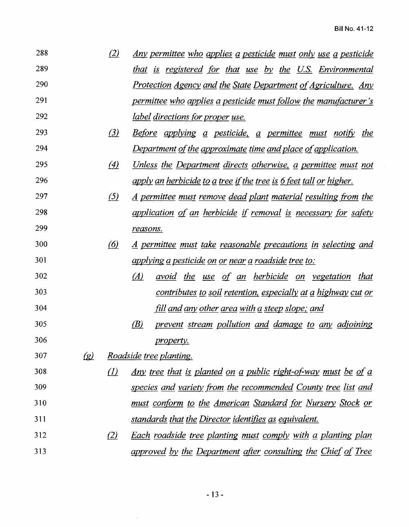| 288        | (2) | <u>Any permittee who applies a pesticide must only use a pesticide</u> |
|------------|-----|------------------------------------------------------------------------|
| 289        |     | that is registered for that use by the U.S. Environmental              |
| <b>290</b> |     | <u>Protection Agency and the State Department of Agriculture. Any</u>  |
| 291        |     | permittee who applies a pesticide must follow the manufacturer's       |
| 292        |     | <u>label directions for proper use.</u>                                |

- 293 (3) *Before applying a pesticide, a permittee must notify the Department of the approximate time and place of application.*
- 295 (4) Unless the Department directs otherwise, a permittee must not *apply an herbicide to g tree ifthe tree is §.feet tall or higher.*
- 297 (5) *A permittee must remove dead plant material resulting from the application* Q[ *an herbicide if removal is necessary fOr safety reasons.*
- {§l *A permittee must take reasonable precautions in selecting and applying gpesticide on or near g roadside tree to:*
- *(A)* avoid the use of an herbicide on vegetation that *contributes to soil retention. especially at g highway cut or fill and any other area with g steep slope; and*
- *(B) prevent stream pollution and damage to any adjoining property.*
- *{gl Roadside tree planting.*
- 308 *<i>(1)* Any tree that is planted on a public right-of-way must be of a *species and variety .from the recommended County tree list and must confOrm to the American Standard tor Nursery Stock or standards that the Director identifies as equivalent.*
- m *Each roadside tree planting must comply with g planting plan approved by the Department after consulting the Chief of Tree*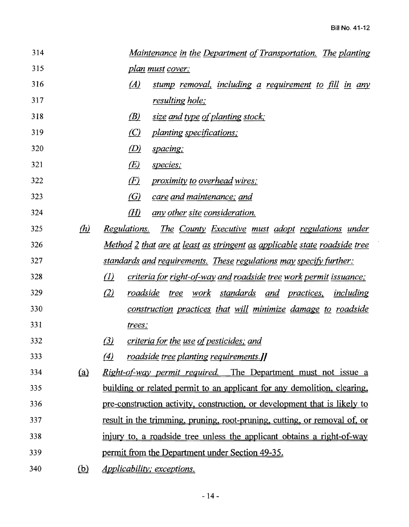| 314 |                     | <u>Maintenance in the Department of Transportation. The planting</u>                 |  |  |  |  |
|-----|---------------------|--------------------------------------------------------------------------------------|--|--|--|--|
| 315 |                     | <u>plan must cover:</u>                                                              |  |  |  |  |
| 316 |                     | (A)<br>stump removal, including a requirement to fill in any                         |  |  |  |  |
| 317 |                     | resulting hole;                                                                      |  |  |  |  |
| 318 |                     | (B)<br>size and type of planting stock;                                              |  |  |  |  |
| 319 |                     | $\left(\mathcal{C}\right)$<br><i>planting specifications;</i>                        |  |  |  |  |
| 320 |                     | $\langle D \rangle$<br>spacing;                                                      |  |  |  |  |
| 321 |                     | E(<br>species;                                                                       |  |  |  |  |
| 322 |                     | $E\left(  E\right)  %$<br><i>proximity to overhead wires;</i>                        |  |  |  |  |
| 323 |                     | <u>(G)</u><br><u>care and maintenance; and </u>                                      |  |  |  |  |
| 324 |                     | (H)<br><u>any other site consideration.</u>                                          |  |  |  |  |
| 325 | $\langle h \rangle$ | Regulations.<br><u>The County Executive must adopt regulations under</u>             |  |  |  |  |
| 326 |                     | <u>Method 2 that are at least as stringent as applicable state roadside tree</u>     |  |  |  |  |
| 327 |                     | <u>standards and requirements. These regulations may specify further:</u>            |  |  |  |  |
| 328 |                     | $\Omega$<br><u>criteria for right-of-way and roadside tree work permit issuance;</u> |  |  |  |  |
| 329 |                     | (2)<br>roadside<br>tree work standards and practices, including                      |  |  |  |  |
| 330 |                     | construction practices that will minimize damage to roadside                         |  |  |  |  |
| 331 |                     | trees;                                                                               |  |  |  |  |
| 332 |                     | (3)<br>criteria for the use of pesticides; and                                       |  |  |  |  |
| 333 |                     | (4)<br>roadside tree planting requirements.                                          |  |  |  |  |
| 334 | (a)                 | <i>Right-of-way permit required.</i> The Department must not issue a                 |  |  |  |  |
| 335 |                     | building or related permit to an applicant for any demolition, clearing,             |  |  |  |  |
| 336 |                     | pre-construction activity, construction, or development that is likely to            |  |  |  |  |
| 337 |                     | result in the trimming, pruning, root-pruning, cutting, or removal of, or            |  |  |  |  |
| 338 |                     | injury to, a roadside tree unless the applicant obtains a right-of-way               |  |  |  |  |
| 339 |                     | permit from the Department under Section 49-35.                                      |  |  |  |  |
| 340 | (b)                 | <i>Applicability; exceptions.</i>                                                    |  |  |  |  |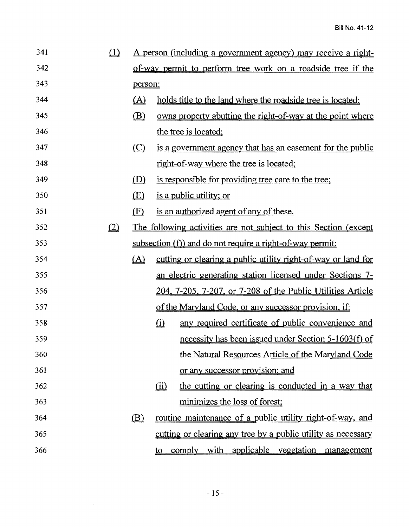| 341 | $\Omega$ |                                                                  | <u>A person (including a government agency) may receive a right-</u> |  |
|-----|----------|------------------------------------------------------------------|----------------------------------------------------------------------|--|
| 342 |          | of-way permit to perform tree work on a roadside tree if the     |                                                                      |  |
| 343 |          | person:                                                          |                                                                      |  |
| 344 |          | (A)                                                              | holds title to the land where the roadside tree is located;          |  |
| 345 |          | (B)                                                              | owns property abutting the right-of-way at the point where           |  |
| 346 |          |                                                                  | the tree is located;                                                 |  |
| 347 |          | $\circ$                                                          | is a government agency that has an easement for the public           |  |
| 348 |          |                                                                  | right-of-way where the tree is located;                              |  |
| 349 |          | (D)                                                              | is responsible for providing tree care to the tree;                  |  |
| 350 |          | <u>(E)</u>                                                       | <u>is a public utility; or</u>                                       |  |
| 351 |          | $\mathbf{E}$                                                     | is an authorized agent of any of these.                              |  |
| 352 | (2)      | The following activities are not subject to this Section (except |                                                                      |  |
| 353 |          | subsection (f)) and do not require a right-of-way permit:        |                                                                      |  |
| 354 |          | (A)                                                              | cutting or clearing a public utility right-of-way or land for        |  |
| 355 |          |                                                                  | an electric generating station licensed under Sections 7-            |  |
| 356 |          |                                                                  | 204, 7-205, 7-207, or 7-208 of the Public Utilities Article          |  |
| 357 |          |                                                                  | of the Maryland Code, or any successor provision, if:                |  |
| 358 |          |                                                                  | $\Omega$<br>any required certificate of public convenience and       |  |
| 359 |          |                                                                  | necessity has been issued under Section 5-1603(f) of                 |  |
| 360 |          |                                                                  | the Natural Resources Article of the Maryland Code                   |  |
| 361 |          |                                                                  | or any successor provision; and                                      |  |
| 362 |          |                                                                  | the cutting or clearing is conducted in a way that<br>(ii)           |  |
| 363 |          |                                                                  | minimizes the loss of forest;                                        |  |
| 364 |          | (B)                                                              | <u>routine maintenance of a public utility right-of-way, and</u>     |  |
| 365 |          |                                                                  | cutting or clearing any tree by a public utility as necessary        |  |
| 366 |          |                                                                  | comply with applicable vegetation management<br>to                   |  |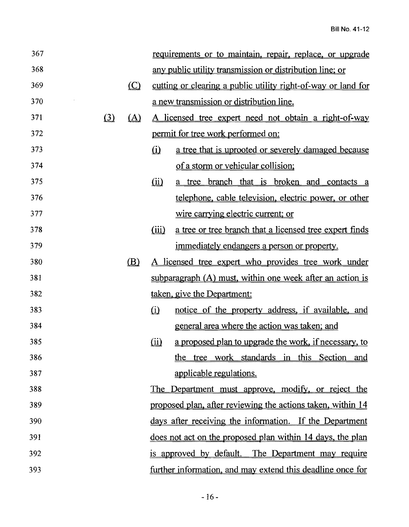| 367 |          |                          |                                                          | requirements or to maintain, repair, replace, or upgrade      |
|-----|----------|--------------------------|----------------------------------------------------------|---------------------------------------------------------------|
| 368 |          |                          | any public utility transmission or distribution line; or |                                                               |
| 369 |          | $\underline{\mathbb{C}}$ |                                                          | cutting or clearing a public utility right-of-way or land for |
| 370 |          |                          |                                                          | a new transmission or distribution line.                      |
| 371 | $\Omega$ | (A)                      |                                                          | A licensed tree expert need not obtain a right-of-way         |
| 372 |          |                          |                                                          | permit for tree work performed on:                            |
| 373 |          |                          | $\Omega$                                                 | a tree that is uprooted or severely damaged because           |
| 374 |          |                          |                                                          | of a storm or vehicular collision;                            |
| 375 |          |                          | $\hat{\underline{\mathbf{u}}}$                           | a tree branch that is broken and contacts a                   |
| 376 |          |                          |                                                          | telephone, cable television, electric power, or other         |
| 377 |          |                          |                                                          | wire carrying electric current; or                            |
| 378 |          |                          | (iii)                                                    | a tree or tree branch that a licensed tree expert finds       |
| 379 |          |                          |                                                          | immediately endangers a person or property.                   |
| 380 |          | (B)                      |                                                          | A licensed tree expert who provides tree work under           |
| 381 |          |                          |                                                          | subparagraph $(A)$ must, within one week after an action is   |
| 382 |          |                          |                                                          | taken, give the Department:                                   |
| 383 |          |                          | $\Omega$                                                 | notice of the property address, if available, and             |
| 384 |          |                          |                                                          | general area where the action was taken; and                  |
| 385 |          |                          | (ii)                                                     | a proposed plan to upgrade the work, if necessary, to         |
| 386 |          |                          |                                                          | the tree work standards in this Section and                   |
| 387 |          |                          |                                                          | applicable regulations.                                       |
| 388 |          |                          |                                                          | The Department must approve, modify, or reject the            |
| 389 |          |                          |                                                          | proposed plan, after reviewing the actions taken, within 14   |
| 390 |          |                          |                                                          | days after receiving the information. If the Department       |
| 391 |          |                          |                                                          | does not act on the proposed plan within 14 days, the plan    |
| 392 |          |                          |                                                          | is approved by default. The Department may require            |
| 393 |          |                          |                                                          | further information, and may extend this deadline once for    |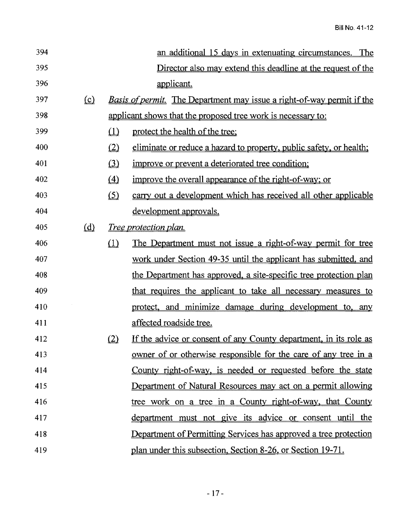| 394 |          |                  | an additional 15 days in extenuating circumstances. The                       |
|-----|----------|------------------|-------------------------------------------------------------------------------|
| 395 |          |                  | Director also may extend this deadline at the request of the                  |
| 396 |          |                  | applicant.                                                                    |
| 397 | $\Omega$ |                  | <u>Basis of permit. The Department may issue a right-of-way permit if the</u> |
| 398 |          |                  | applicant shows that the proposed tree work is necessary to:                  |
| 399 |          | $\Box$           | protect the health of the tree;                                               |
| 400 |          | (2)              | eliminate or reduce a hazard to property, public safety, or health;           |
| 401 |          | (3)              | improve or prevent a deteriorated tree condition;                             |
| 402 |          | $\left(4\right)$ | improve the overall appearance of the right-of-way; or                        |
| 403 |          | (5)              | carry out a development which has received all other applicable               |
| 404 |          |                  | development approvals.                                                        |
| 405 | $\omega$ |                  | <i>Tree protection plan.</i>                                                  |
| 406 |          | $\Box$           | <u>The Department must not issue a right-of-way permit for tree</u>           |
| 407 |          |                  | work under Section 49-35 until the applicant has submitted, and               |
| 408 |          |                  | the Department has approved, a site-specific tree protection plan             |
| 409 |          |                  | that requires the applicant to take all necessary measures to                 |
| 410 |          |                  | protect, and minimize damage during development to, any                       |
| 411 |          |                  | affected roadside tree.                                                       |
| 412 |          | (2)              | If the advice or consent of any County department, in its role as             |
| 413 |          |                  | <u>owner of or otherwise responsible for the care of any tree in a</u>        |
| 414 |          |                  | County right-of-way, is needed or requested before the state                  |
| 415 |          |                  | Department of Natural Resources may act on a permit allowing                  |
| 416 |          |                  | tree work on a tree in a County right-of-way, that County                     |
| 417 |          |                  | department must not give its advice or consent until the                      |
| 418 |          |                  | Department of Permitting Services has approved a tree protection              |
| 419 |          |                  | plan under this subsection, Section 8-26, or Section 19-71.                   |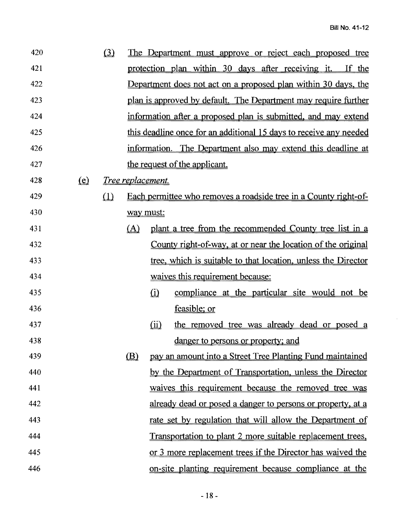$\mathcal{A}^{\pm}$ 

| 420 |                                | $\Omega$ |              |                                                                    | The Department must approve or reject each proposed tree              |
|-----|--------------------------------|----------|--------------|--------------------------------------------------------------------|-----------------------------------------------------------------------|
| 421 |                                |          |              |                                                                    | protection plan within 30 days after receiving it. If the             |
| 422 |                                |          |              |                                                                    | <u>Department does not act on a proposed plan within 30 days, the</u> |
| 423 |                                |          |              |                                                                    | plan is approved by default. The Department may require further       |
| 424 |                                |          |              | information after a proposed plan is submitted, and may extend     |                                                                       |
| 425 |                                |          |              | this deadline once for an additional 15 days to receive any needed |                                                                       |
| 426 |                                |          |              |                                                                    | information. The Department also may extend this deadline at          |
| 427 |                                |          |              |                                                                    | the request of the applicant.                                         |
| 428 | $\left( \underline{e} \right)$ |          |              | Tree replacement.                                                  |                                                                       |
| 429 |                                | $\Omega$ |              |                                                                    | Each permittee who removes a roadside tree in a County right-of-      |
| 430 |                                |          |              | way must:                                                          |                                                                       |
| 431 |                                |          | (A)          |                                                                    | plant a tree from the recommended County tree list in a               |
| 432 |                                |          |              |                                                                    | County right-of-way, at or near the location of the original          |
| 433 |                                |          |              |                                                                    | tree, which is suitable to that location, unless the Director         |
| 434 |                                |          |              |                                                                    | waives this requirement because:                                      |
| 435 |                                |          |              | $\Omega$                                                           | compliance at the particular site would not be                        |
| 436 |                                |          |              |                                                                    | feasible; or                                                          |
| 437 |                                |          |              | $\omega$                                                           | the removed tree was already dead or posed a                          |
| 438 |                                |          |              |                                                                    | danger to persons or property; and                                    |
| 439 |                                |          | $\mathbf{B}$ |                                                                    | pay an amount into a Street Tree Planting Fund maintained             |
| 440 |                                |          |              |                                                                    | by the Department of Transportation, unless the Director              |
| 441 |                                |          |              |                                                                    | waives this requirement because the removed tree was                  |
| 442 |                                |          |              |                                                                    | already dead or posed a danger to persons or property, at a           |
| 443 |                                |          |              |                                                                    | rate set by regulation that will allow the Department of              |
| 444 |                                |          |              |                                                                    | Transportation to plant 2 more suitable replacement trees,            |
| 445 |                                |          |              |                                                                    | or 3 more replacement trees if the Director has waived the            |
| 446 |                                |          |              |                                                                    | on-site planting requirement because compliance at the                |
|     |                                |          |              |                                                                    |                                                                       |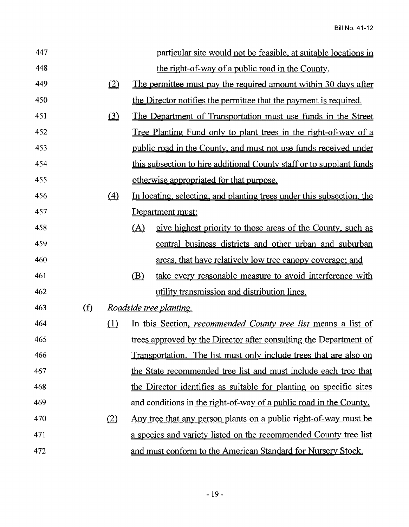| 447 |                               |             |                                                                    | particular site would not be feasible, at suitable locations in         |  |
|-----|-------------------------------|-------------|--------------------------------------------------------------------|-------------------------------------------------------------------------|--|
| 448 |                               |             |                                                                    | the right-of-way of a public road in the County.                        |  |
| 449 |                               | (2)         |                                                                    | <u>The permittee must pay the required amount within 30 days after</u>  |  |
| 450 |                               |             |                                                                    | the Director notifies the permittee that the payment is required.       |  |
| 451 |                               | $\Omega$    |                                                                    | <u>The Department of Transportation must use funds in the Street</u>    |  |
| 452 |                               |             |                                                                    | <u>Tree Planting Fund only to plant trees in the right-of-way of a</u>  |  |
| 453 |                               |             |                                                                    | public road in the County, and must not use funds received under        |  |
| 454 |                               |             |                                                                    | this subsection to hire additional County staff or to supplant funds    |  |
| 455 |                               |             |                                                                    | otherwise appropriated for that purpose.                                |  |
| 456 |                               | $\triangle$ |                                                                    | In locating, selecting, and planting trees under this subsection, the   |  |
| 457 |                               |             |                                                                    | Department must:                                                        |  |
| 458 |                               |             | (A)                                                                | give highest priority to those areas of the County, such as             |  |
| 459 |                               |             |                                                                    | central business districts and other urban and suburban                 |  |
| 460 |                               |             |                                                                    | areas, that have relatively low tree canopy coverage; and               |  |
| 461 |                               |             | (B)                                                                | take every reasonable measure to avoid interference with                |  |
| 462 |                               |             |                                                                    | utility transmission and distribution lines.                            |  |
| 463 | $\underline{\textcircled{f}}$ |             |                                                                    | <i>Roadside tree planting.</i>                                          |  |
| 464 |                               | $\Box$      |                                                                    | In this Section, <i>recommended County tree list</i> means a list of    |  |
| 465 |                               |             |                                                                    | trees approved by the Director after consulting the Department of       |  |
| 466 |                               |             | Transportation. The list must only include trees that are also on  |                                                                         |  |
| 467 |                               |             | the State recommended tree list and must include each tree that    |                                                                         |  |
| 468 |                               |             | the Director identifies as suitable for planting on specific sites |                                                                         |  |
| 469 |                               |             |                                                                    | and conditions in the right-of-way of a public road in the County.      |  |
| 470 |                               | (2)         |                                                                    | Any tree that any person plants on a public right-of-way must be        |  |
| 471 |                               |             |                                                                    | <u>a species and variety listed on the recommended County tree list</u> |  |
| 472 |                               |             |                                                                    | and must conform to the American Standard for Nursery Stock.            |  |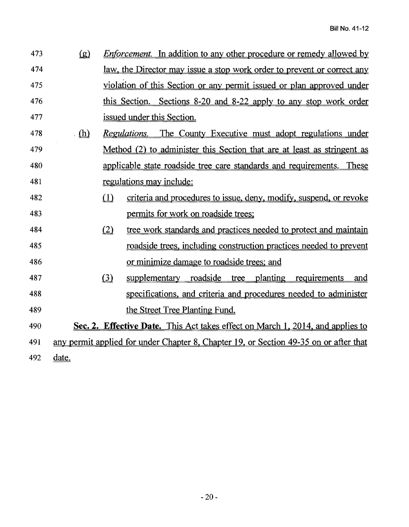| 473 | $\left( \underline{g} \right)$ |          | <i>Enforcement.</i> In addition to any other procedure or remedy allowed by           |
|-----|--------------------------------|----------|---------------------------------------------------------------------------------------|
| 474 |                                |          | <u>law, the Director may issue a stop work order to prevent or correct any</u>        |
| 475 |                                |          | violation of this Section or any permit issued or plan approved under                 |
| 476 |                                |          | this Section. Sections 8-20 and 8-22 apply to any stop work order                     |
| 477 |                                |          | issued under this Section.                                                            |
| 478 | $(\mathbf{h})$                 |          | The County Executive must adopt regulations under<br><i>Regulations.</i>              |
| 479 |                                |          | Method (2) to administer this Section that are at least as stringent as               |
| 480 |                                |          | applicable state roadside tree care standards and requirements. These                 |
| 481 |                                |          | regulations may include:                                                              |
| 482 |                                | $\Omega$ | criteria and procedures to issue, deny, modify, suspend, or revoke                    |
| 483 |                                |          | permits for work on roadside trees;                                                   |
| 484 |                                | (2)      | tree work standards and practices needed to protect and maintain                      |
| 485 |                                |          | <u>roadside trees, including construction practices needed to prevent</u>             |
| 486 |                                |          | or minimize damage to roadside trees; and                                             |
| 487 |                                | (3)      | tree planting<br>supplementary roadside<br>requirements<br>and                        |
| 488 |                                |          | specifications, and criteria and procedures needed to administer                      |
| 489 |                                |          | the Street Tree Planting Fund.                                                        |
| 490 |                                |          | Sec. 2. Effective Date. This Act takes effect on March 1, 2014, and applies to        |
| 491 |                                |          | any permit applied for under Chapter 8, Chapter 19, or Section 49-35 on or after that |
| 492 | date.                          |          |                                                                                       |